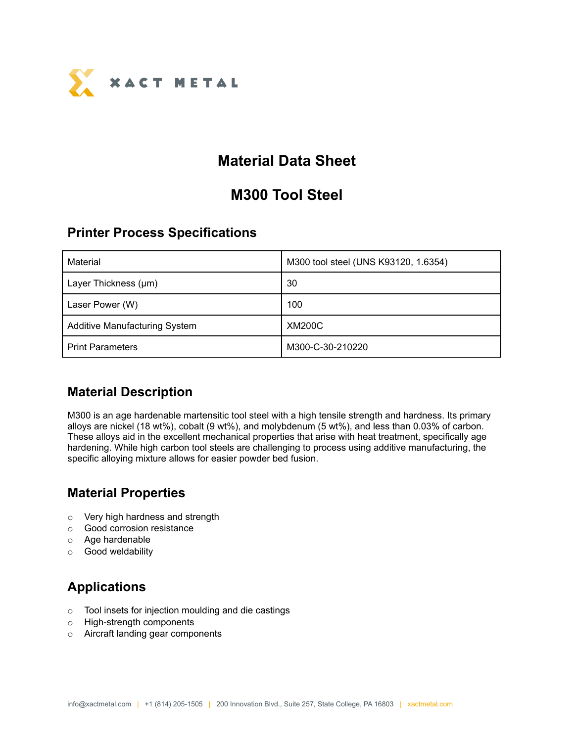

# **Material Data Sheet**

# **M300 Tool Steel**

### **Printer Process Specifications**

| Material                             | M300 tool steel (UNS K93120, 1.6354) |
|--------------------------------------|--------------------------------------|
| Layer Thickness (µm)                 | 30                                   |
| Laser Power (W)                      | 100                                  |
| <b>Additive Manufacturing System</b> | <b>XM200C</b>                        |
| <b>Print Parameters</b>              | M300-C-30-210220                     |

## **Material Description**

M300 is an age hardenable martensitic tool steel with a high tensile strength and hardness. Its primary alloys are nickel (18 wt%), cobalt (9 wt%), and molybdenum (5 wt%), and less than 0.03% of carbon. These alloys aid in the excellent mechanical properties that arise with heat treatment, specifically age hardening. While high carbon tool steels are challenging to process using additive manufacturing, the specific alloying mixture allows for easier powder bed fusion.

# **Material Properties**

- o Very high hardness and strength
- o Good corrosion resistance
- o Age hardenable
- o Good weldability

# **Applications**

- o Tool insets for injection moulding and die castings
- o High-strength components
- o Aircraft landing gear components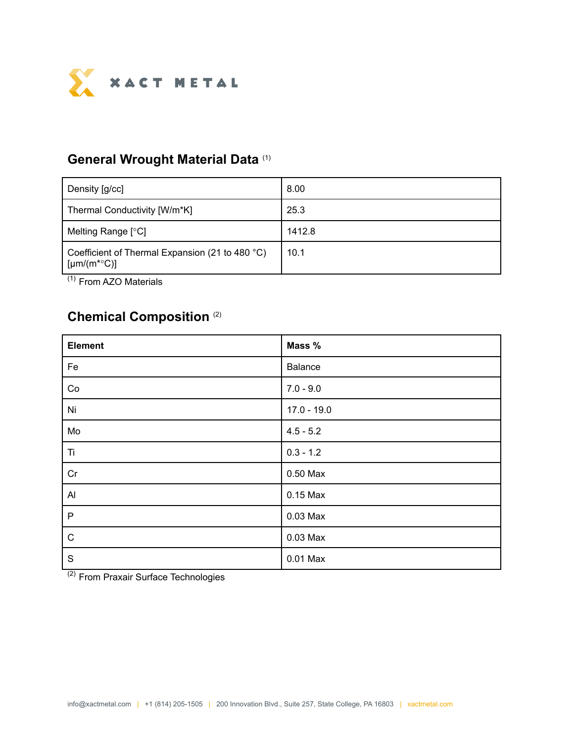

#### **General Wrought Material Data** (1)

| Density [g/cc]                                                              | 8.00   |
|-----------------------------------------------------------------------------|--------|
| Thermal Conductivity [W/m*K]                                                | 25.3   |
| Melting Range [°C]                                                          | 1412.8 |
| Coefficient of Thermal Expansion (21 to 480 °C)<br>[µm/(m <sup>*</sup> °C)] | 10.1   |

(1) From AZO Materials

## **Chemical Composition** (2)

| <b>Element</b>       | Mass %         |
|----------------------|----------------|
| Fe                   | <b>Balance</b> |
| Co                   | $7.0 - 9.0$    |
| Ni                   | $17.0 - 19.0$  |
| Mo                   | $4.5 - 5.2$    |
| Ti                   | $0.3 - 1.2$    |
| Cr                   | 0.50 Max       |
| $\mathsf{Al}\xspace$ | $0.15$ Max     |
| $\mathsf P$          | 0.03 Max       |
| $\mathsf C$          | $0.03$ Max     |
| $\mathsf S$          | 0.01 Max       |

<sup>(2)</sup> From Praxair Surface Technologies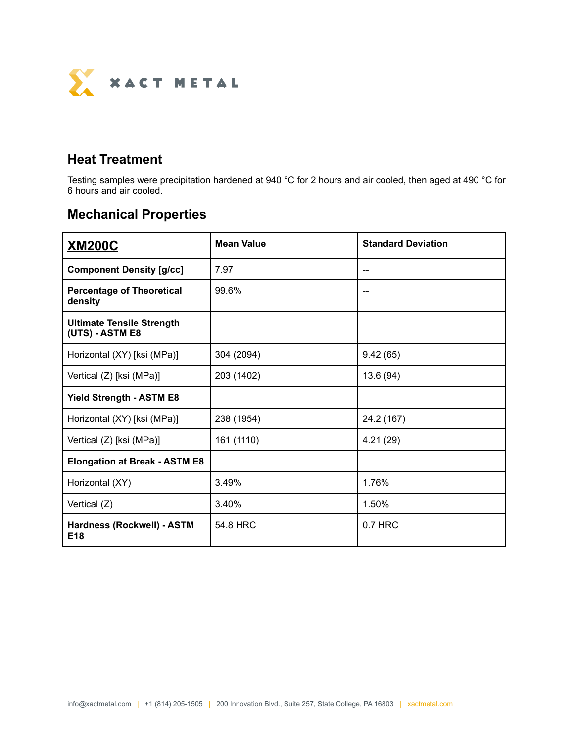

### **Heat Treatment**

Testing samples were precipitation hardened at 940 °C for 2 hours and air cooled, then aged at 490 °C for 6 hours and air cooled.

## **Mechanical Properties**

| <b>XM200C</b>                                       | <b>Mean Value</b> | <b>Standard Deviation</b> |  |
|-----------------------------------------------------|-------------------|---------------------------|--|
| <b>Component Density [g/cc]</b>                     | 7.97              |                           |  |
| <b>Percentage of Theoretical</b><br>density         | 99.6%             |                           |  |
| <b>Ultimate Tensile Strength</b><br>(UTS) - ASTM E8 |                   |                           |  |
| Horizontal (XY) [ksi (MPa)]                         | 304 (2094)        | 9.42(65)                  |  |
| Vertical (Z) [ksi (MPa)]                            | 203 (1402)        | 13.6 (94)                 |  |
| <b>Yield Strength - ASTM E8</b>                     |                   |                           |  |
| Horizontal (XY) [ksi (MPa)]                         | 238 (1954)        | 24.2 (167)                |  |
| Vertical (Z) [ksi (MPa)]                            | 161 (1110)        | 4.21(29)                  |  |
| <b>Elongation at Break - ASTM E8</b>                |                   |                           |  |
| Horizontal (XY)                                     | 3.49%             | 1.76%                     |  |
| Vertical (Z)                                        | 3.40%             | 1.50%                     |  |
| Hardness (Rockwell) - ASTM<br>E <sub>18</sub>       | 54.8 HRC          | $0.7$ HRC                 |  |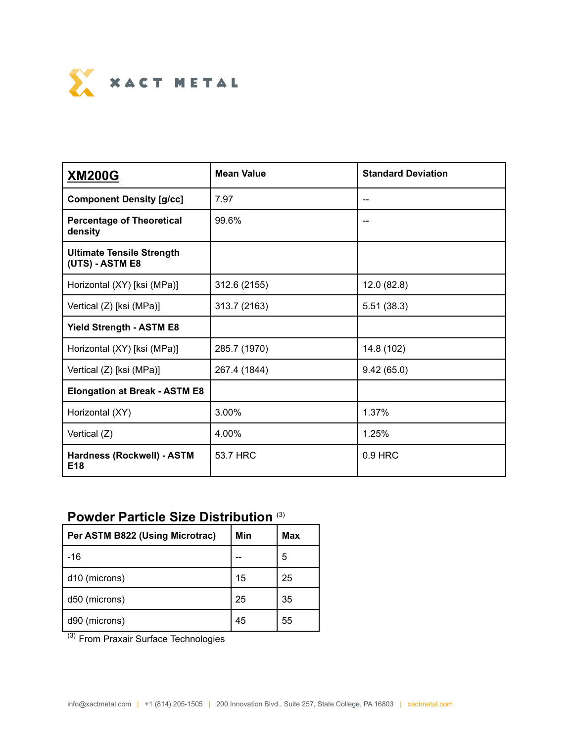

| <b>XM200G</b>                                       | <b>Mean Value</b> | <b>Standard Deviation</b> |  |
|-----------------------------------------------------|-------------------|---------------------------|--|
| <b>Component Density [g/cc]</b>                     | 7.97              |                           |  |
| <b>Percentage of Theoretical</b><br>density         | 99.6%             |                           |  |
| <b>Ultimate Tensile Strength</b><br>(UTS) - ASTM E8 |                   |                           |  |
| Horizontal (XY) [ksi (MPa)]                         | 312.6 (2155)      | 12.0(82.8)                |  |
| Vertical (Z) [ksi (MPa)]                            | 313.7 (2163)      | 5.51(38.3)                |  |
| <b>Yield Strength - ASTM E8</b>                     |                   |                           |  |
| Horizontal (XY) [ksi (MPa)]                         | 285.7 (1970)      | 14.8 (102)                |  |
| Vertical (Z) [ksi (MPa)]                            | 267.4 (1844)      | 9.42(65.0)                |  |
| <b>Elongation at Break - ASTM E8</b>                |                   |                           |  |
| Horizontal (XY)                                     | 3.00%             | 1.37%                     |  |
| Vertical (Z)                                        | 4.00%             | 1.25%                     |  |
| Hardness (Rockwell) - ASTM<br>E <sub>18</sub>       | 53.7 HRC          | 0.9 HRC                   |  |

### **Powder Particle Size Distribution** (3)

| Per ASTM B822 (Using Microtrac) | Min | Max |
|---------------------------------|-----|-----|
| $-16$                           |     | 5   |
| d <sub>10</sub> (microns)       | 15  | 25  |
| d50 (microns)                   | 25  | 35  |
| d90 (microns)                   | 45  | 55  |

<sup>(3)</sup> From Praxair Surface Technologies